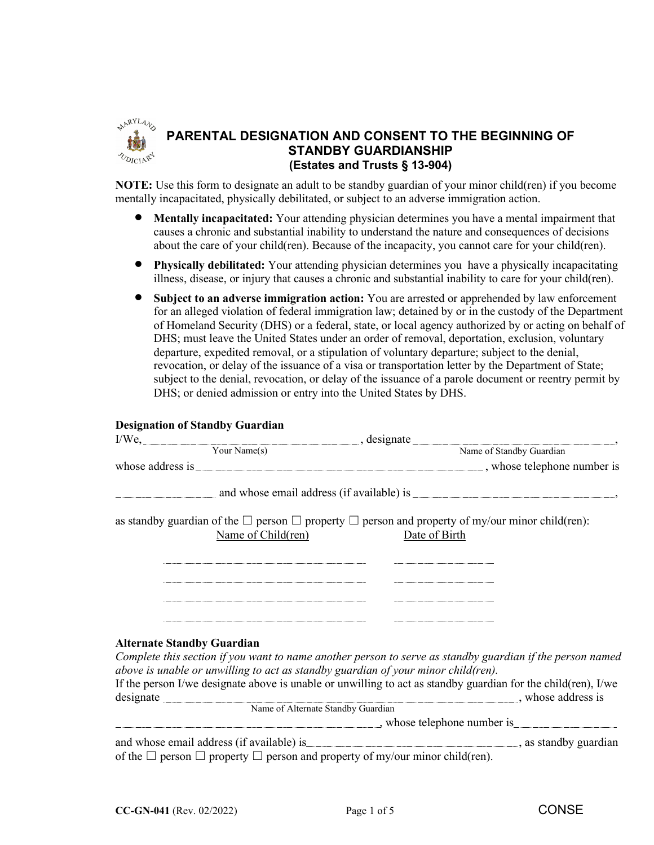

# **PARENTAL DESIGNATION AND CONSENT TO THE BEGINNING OF STANDBY GUARDIANSHIP (Estates and Trusts § 13-904)**

**NOTE:** Use this form to designate an adult to be standby guardian of your minor child(ren) if you become mentally incapacitated, physically debilitated, or subject to an adverse immigration action.

- **Mentally incapacitated:** Your attending physician determines you have a mental impairment that causes a chronic and substantial inability to understand the nature and consequences of decisions about the care of your child(ren). Because of the incapacity, you cannot care for your child(ren).
- **Physically debilitated:** Your attending physician determines you have a physically incapacitating illness, disease, or injury that causes a chronic and substantial inability to care for your child(ren).
- **Subject to an adverse immigration action:** You are arrested or apprehended by law enforcement for an alleged violation of federal immigration law; detained by or in the custody of the Department of Homeland Security (DHS) or a federal, state, or local agency authorized by or acting on behalf of DHS; must leave the United States under an order of removal, deportation, exclusion, voluntary departure, expedited removal, or a stipulation of voluntary departure; subject to the denial, revocation, or delay of the issuance of a visa or transportation letter by the Department of State; subject to the denial, revocation, or delay of the issuance of a parole document or reentry permit by DHS; or denied admission or entry into the United States by DHS.

### **Designation of Standby Guardian**

|                                   | I/We, <u>vour Name(s)</u> , designate Name of Standby Guardian Name of Standby Guardian Name of Standby Guardian |                                                                                                                                  |  |
|-----------------------------------|------------------------------------------------------------------------------------------------------------------|----------------------------------------------------------------------------------------------------------------------------------|--|
|                                   |                                                                                                                  |                                                                                                                                  |  |
|                                   |                                                                                                                  |                                                                                                                                  |  |
|                                   |                                                                                                                  |                                                                                                                                  |  |
|                                   | Name of Child(ren)                                                                                               | as standby guardian of the $\Box$ person $\Box$ property $\Box$ person and property of my/our minor child(ren):<br>Date of Birth |  |
|                                   |                                                                                                                  |                                                                                                                                  |  |
| <b>Alternate Standby Guardian</b> |                                                                                                                  | Complete this section if you want to name another person to serve as standby guardian if the person named                        |  |
|                                   | above is unable or unwilling to act as standby guardian of your minor child(ren).                                |                                                                                                                                  |  |
|                                   |                                                                                                                  | If the person I/we designate above is unable or unwilling to act as standby guardian for the child(ren), I/we                    |  |
|                                   | Name of Alternate Standby Guardian                                                                               |                                                                                                                                  |  |
|                                   |                                                                                                                  | $\blacksquare$ , whose telephone number is                                                                                       |  |
|                                   |                                                                                                                  |                                                                                                                                  |  |
|                                   | of the $\Box$ person $\Box$ property $\Box$ person and property of my/our minor child(ren).                      |                                                                                                                                  |  |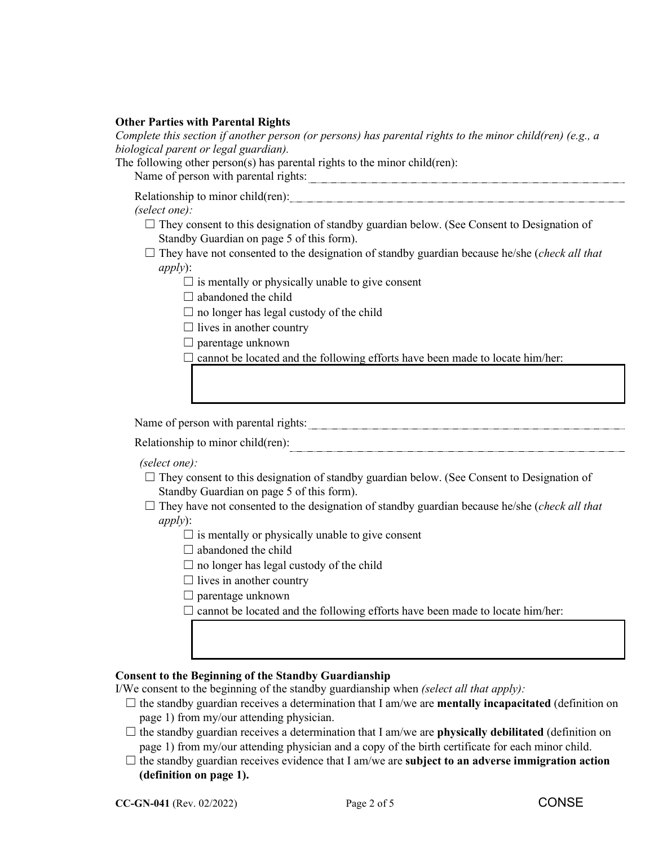### **Other Parties with Parental Rights**

*Complete this section if another person (or persons) has parental rights to the minor child(ren) (e.g., a biological parent or legal guardian).*

The following other person(s) has parental rights to the minor child(ren):

Name of person with parental rights:

Relationship to minor child(ren): example and the control of the control of the control of the control of the control of the control of the control of the control of the control of the control of the control of the control

### *(select one):*

 $\Box$  They consent to this designation of standby guardian below. (See Consent to Designation of Standby Guardian on page 5 of this form).

☐ They have not consented to the designation of standby guardian because he/she (*check all that apply*):

 $\Box$  is mentally or physically unable to give consent

 $\Box$  abandoned the child

- $\Box$  no longer has legal custody of the child
- $\Box$  lives in another country
- $\Box$  parentage unknown

 $\Box$  cannot be located and the following efforts have been made to locate him/her:

Name of person with parental rights:

Relationship to minor child(ren):

*(select one):*

- $\Box$  They consent to this designation of standby guardian below. (See Consent to Designation of Standby Guardian on page 5 of this form).
- ☐ They have not consented to the designation of standby guardian because he/she (*check all that apply*):
	- $\Box$  is mentally or physically unable to give consent
	- $\Box$  abandoned the child
	- $\Box$  no longer has legal custody of the child
	- $\Box$  lives in another country
	- $\Box$  parentage unknown
	- $\Box$  cannot be located and the following efforts have been made to locate him/her:

### **Consent to the Beginning of the Standby Guardianship**

I/We consent to the beginning of the standby guardianship when *(select all that apply):*

- $\Box$  the standby guardian receives a determination that I am/we are **mentally incapacitated** (definition on page 1) from my/our attending physician.
- ☐ the standby guardian receives a determination that I am/we are **physically debilitated** (definition on page 1) from my/our attending physician and a copy of the birth certificate for each minor child.
- $\Box$  the standby guardian receives evidence that I am/we are **subject to an adverse immigration action (definition on page 1).**

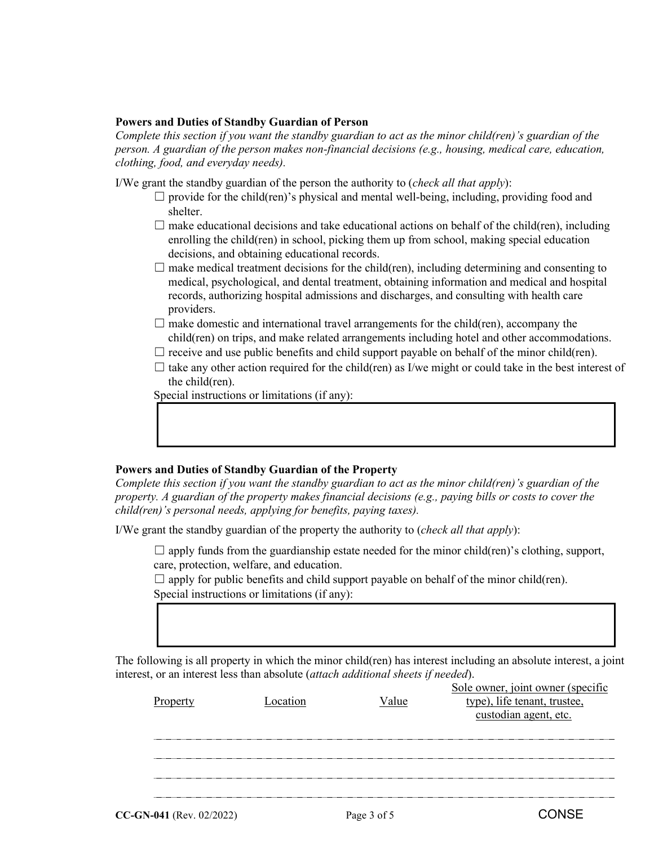### **Powers and Duties of Standby Guardian of Person**

*Complete this section if you want the standby guardian to act as the minor child(ren)'s guardian of the person. A guardian of the person makes non-financial decisions (e.g., housing, medical care, education, clothing, food, and everyday needs).* 

I/We grant the standby guardian of the person the authority to (*check all that apply*):

- $\Box$  provide for the child(ren)'s physical and mental well-being, including, providing food and shelter.
- $\Box$  make educational decisions and take educational actions on behalf of the child(ren), including enrolling the child(ren) in school, picking them up from school, making special education decisions, and obtaining educational records.
- $\Box$  make medical treatment decisions for the child(ren), including determining and consenting to medical, psychological, and dental treatment, obtaining information and medical and hospital records, authorizing hospital admissions and discharges, and consulting with health care providers.
- $\Box$  make domestic and international travel arrangements for the child(ren), accompany the child(ren) on trips, and make related arrangements including hotel and other accommodations.
- $\Box$  receive and use public benefits and child support payable on behalf of the minor child(ren).
- $\Box$  take any other action required for the child(ren) as I/we might or could take in the best interest of the child(ren).

Special instructions or limitations (if any):

### **Powers and Duties of Standby Guardian of the Property**

*Complete this section if you want the standby guardian to act as the minor child(ren)'s guardian of the property. A guardian of the property makes financial decisions (e.g., paying bills or costs to cover the child(ren)'s personal needs, applying for benefits, paying taxes).* 

I/We grant the standby guardian of the property the authority to (*check all that apply*):

 $\Box$  apply funds from the guardianship estate needed for the minor child(ren)'s clothing, support, care, protection, welfare, and education.

 $\Box$  apply for public benefits and child support payable on behalf of the minor child(ren). Special instructions or limitations (if any):

The following is all property in which the minor child(ren) has interest including an absolute interest, a joint interest, or an interest less than absolute (*attach additional sheets if needed*). Sole owner, joint owner (specific

| Propert | Location | alue | <u>SOIC OWNER, JOIN OWNER (SPECIFIC</u><br>type), life tenant, trustee,<br>custodian agent, etc. |
|---------|----------|------|--------------------------------------------------------------------------------------------------|
|         |          |      |                                                                                                  |
|         |          |      |                                                                                                  |
|         |          |      |                                                                                                  |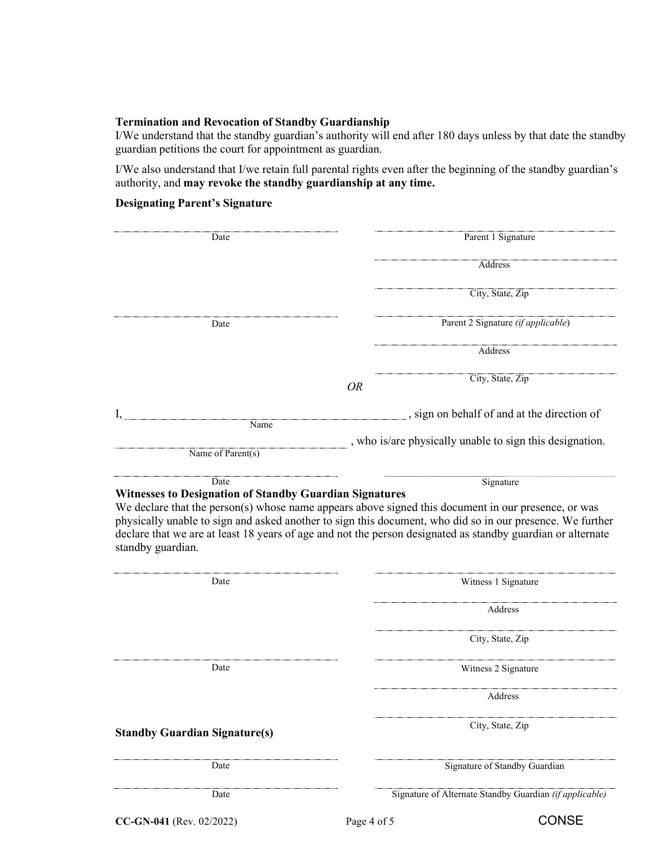#### **Termination and Revocation of Standby Guardianship**

I/We understand that the standby guardian's authority will end after 180 days unless by that date the standby guardian petitions the court for appointment as guardian.

I/We also understand that I/we retain full parental rights even after the beginning of the standby guardian's authority, and **may revoke the standby guardianship at any time.**

## **Designating Parent's Signature**

| Date                                                      |                                                                        | Parent 1 Signature                                                                                                                                                                                                                                                                                                                           |
|-----------------------------------------------------------|------------------------------------------------------------------------|----------------------------------------------------------------------------------------------------------------------------------------------------------------------------------------------------------------------------------------------------------------------------------------------------------------------------------------------|
|                                                           |                                                                        | Address                                                                                                                                                                                                                                                                                                                                      |
|                                                           |                                                                        | City, State, Zip                                                                                                                                                                                                                                                                                                                             |
|                                                           | Date                                                                   | Parent 2 Signature (if applicable)                                                                                                                                                                                                                                                                                                           |
|                                                           |                                                                        | Address                                                                                                                                                                                                                                                                                                                                      |
|                                                           |                                                                        | City, State, Zip<br><b>OR</b>                                                                                                                                                                                                                                                                                                                |
|                                                           | Name                                                                   | sign on behalf of and at the direction of                                                                                                                                                                                                                                                                                                    |
| Name of Parent(s)                                         |                                                                        | , who is/are physically unable to sign this designation.                                                                                                                                                                                                                                                                                     |
|                                                           |                                                                        |                                                                                                                                                                                                                                                                                                                                              |
|                                                           | Date<br><b>Witnesses to Designation of Standby Guardian Signatures</b> | Signature<br>We declare that the person(s) whose name appears above signed this document in our presence, or was<br>physically unable to sign and asked another to sign this document, who did so in our presence. We further<br>declare that we are at least 18 years of age and not the person designated as standby guardian or alternate |
|                                                           |                                                                        |                                                                                                                                                                                                                                                                                                                                              |
|                                                           | Date                                                                   | Witness 1 Signature<br>Address                                                                                                                                                                                                                                                                                                               |
|                                                           |                                                                        | City, State, Zip                                                                                                                                                                                                                                                                                                                             |
|                                                           | Date                                                                   | Witness 2 Signature                                                                                                                                                                                                                                                                                                                          |
|                                                           |                                                                        | Address                                                                                                                                                                                                                                                                                                                                      |
|                                                           |                                                                        | City, State, Zip                                                                                                                                                                                                                                                                                                                             |
| standby guardian.<br><b>Standby Guardian Signature(s)</b> | Date                                                                   | Signature of Standby Guardian                                                                                                                                                                                                                                                                                                                |

**CC-GN-041** (Rev. 02/2022) Page 4 of 5 CONSE